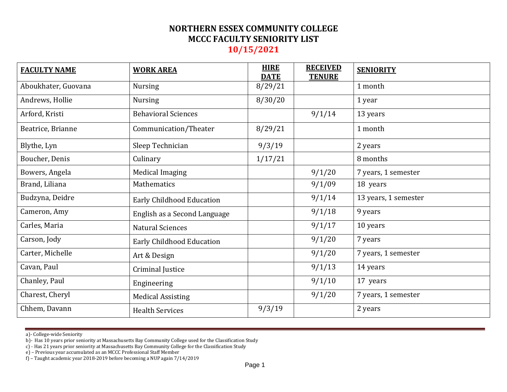| <b>FACULTY NAME</b> | <b>WORK AREA</b>             | <b>HIRE</b><br><b>DATE</b> | <b>RECEIVED</b><br><b>TENURE</b> | <b>SENIORITY</b>     |
|---------------------|------------------------------|----------------------------|----------------------------------|----------------------|
| Aboukhater, Guovana | <b>Nursing</b>               | 8/29/21                    |                                  | 1 month              |
| Andrews, Hollie     | <b>Nursing</b>               | 8/30/20                    |                                  | 1 year               |
| Arford, Kristi      | <b>Behavioral Sciences</b>   |                            | 9/1/14                           | 13 years             |
| Beatrice, Brianne   | Communication/Theater        | 8/29/21                    |                                  | 1 month              |
| Blythe, Lyn         | Sleep Technician             | 9/3/19                     |                                  | 2 years              |
| Boucher, Denis      | Culinary                     | 1/17/21                    |                                  | 8 months             |
| Bowers, Angela      | <b>Medical Imaging</b>       |                            | 9/1/20                           | 7 years, 1 semester  |
| Brand, Liliana      | Mathematics                  |                            | 9/1/09                           | 18 years             |
| Budzyna, Deidre     | Early Childhood Education    |                            | 9/1/14                           | 13 years, 1 semester |
| Cameron, Amy        | English as a Second Language |                            | 9/1/18                           | 9 years              |
| Carles, Maria       | <b>Natural Sciences</b>      |                            | 9/1/17                           | 10 years             |
| Carson, Jody        | Early Childhood Education    |                            | 9/1/20                           | 7 years              |
| Carter, Michelle    | Art & Design                 |                            | 9/1/20                           | 7 years, 1 semester  |
| Cavan, Paul         | Criminal Justice             |                            | 9/1/13                           | 14 years             |
| Chanley, Paul       | Engineering                  |                            | 9/1/10                           | 17 years             |
| Charest, Cheryl     | <b>Medical Assisting</b>     |                            | 9/1/20                           | 7 years, 1 semester  |
| Chhem, Davann       | <b>Health Services</b>       | 9/3/19                     |                                  | 2 years              |

a)- College-wide Seniority

b)- Has 10 years prior seniority at Massachusetts Bay Community College used for the Classification Study

c) - Has 21 years prior seniority at Massachusetts Bay Community College for the Classification Study

e) – Previous year accumulated as an MCCC Professional Staff Member

f) – Taught academic year 2018-2019 before becoming a NUP again 7/14/2019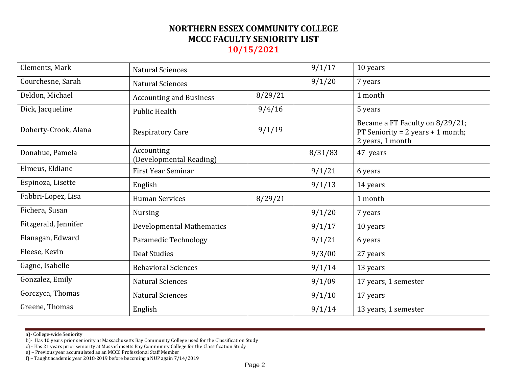| <b>Natural Sciences</b>               |         | 9/1/17  | 10 years                                                                                   |
|---------------------------------------|---------|---------|--------------------------------------------------------------------------------------------|
| <b>Natural Sciences</b>               |         | 9/1/20  | 7 years                                                                                    |
| <b>Accounting and Business</b>        | 8/29/21 |         | 1 month                                                                                    |
| <b>Public Health</b>                  | 9/4/16  |         | 5 years                                                                                    |
| <b>Respiratory Care</b>               | 9/1/19  |         | Became a FT Faculty on 8/29/21;<br>PT Seniority = $2$ years + 1 month;<br>2 years, 1 month |
| Accounting<br>(Developmental Reading) |         | 8/31/83 | 47 years                                                                                   |
| First Year Seminar                    |         | 9/1/21  | 6 years                                                                                    |
| English                               |         | 9/1/13  | 14 years                                                                                   |
| <b>Human Services</b>                 | 8/29/21 |         | 1 month                                                                                    |
| <b>Nursing</b>                        |         | 9/1/20  | 7 years                                                                                    |
| <b>Developmental Mathematics</b>      |         | 9/1/17  | 10 years                                                                                   |
| Paramedic Technology                  |         | 9/1/21  | 6 years                                                                                    |
| <b>Deaf Studies</b>                   |         | 9/3/00  | 27 years                                                                                   |
| <b>Behavioral Sciences</b>            |         | 9/1/14  | 13 years                                                                                   |
| <b>Natural Sciences</b>               |         | 9/1/09  | 17 years, 1 semester                                                                       |
| <b>Natural Sciences</b>               |         | 9/1/10  | 17 years                                                                                   |
| English                               |         | 9/1/14  | 13 years, 1 semester                                                                       |
|                                       |         |         |                                                                                            |

b)- Has 10 years prior seniority at Massachusetts Bay Community College used for the Classification Study

c) - Has 21 years prior seniority at Massachusetts Bay Community College for the Classification Study

e) – Previous year accumulated as an MCCC Professional Staff Member

f) – Taught academic year 2018-2019 before becoming a NUP again 7/14/2019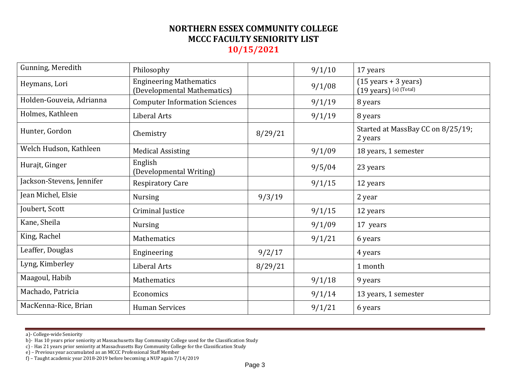| Gunning, Meredith         | Philosophy                                                    |         | 9/1/10 | 17 years                                                                   |
|---------------------------|---------------------------------------------------------------|---------|--------|----------------------------------------------------------------------------|
| Heymans, Lori             | <b>Engineering Mathematics</b><br>(Developmental Mathematics) |         | 9/1/08 | $(15 \text{ years} + 3 \text{ years})$<br>$(19 \text{ years})$ (a) (Total) |
| Holden-Gouveia, Adrianna  | <b>Computer Information Sciences</b>                          |         | 9/1/19 | 8 years                                                                    |
| Holmes, Kathleen          | Liberal Arts                                                  |         | 9/1/19 | 8 years                                                                    |
| Hunter, Gordon            | Chemistry                                                     | 8/29/21 |        | Started at MassBay CC on 8/25/19;<br>2 years                               |
| Welch Hudson, Kathleen    | <b>Medical Assisting</b>                                      |         | 9/1/09 | 18 years, 1 semester                                                       |
| Hurajt, Ginger            | English<br>(Developmental Writing)                            |         | 9/5/04 | 23 years                                                                   |
| Jackson-Stevens, Jennifer | <b>Respiratory Care</b>                                       |         | 9/1/15 | 12 years                                                                   |
| Jean Michel, Elsie        | <b>Nursing</b>                                                | 9/3/19  |        | 2 year                                                                     |
| Joubert, Scott            | Criminal Justice                                              |         | 9/1/15 | 12 years                                                                   |
| Kane, Sheila              | <b>Nursing</b>                                                |         | 9/1/09 | 17 years                                                                   |
| King, Rachel              | Mathematics                                                   |         | 9/1/21 | 6 years                                                                    |
| Leaffer, Douglas          | Engineering                                                   | 9/2/17  |        | 4 years                                                                    |
| Lyng, Kimberley           | Liberal Arts                                                  | 8/29/21 |        | 1 month                                                                    |
| Maagoul, Habib            | Mathematics                                                   |         | 9/1/18 | 9 years                                                                    |
| Machado, Patricia         | Economics                                                     |         | 9/1/14 | 13 years, 1 semester                                                       |
| MacKenna-Rice, Brian      | <b>Human Services</b>                                         |         | 9/1/21 | 6 years                                                                    |

b)- Has 10 years prior seniority at Massachusetts Bay Community College used for the Classification Study

c) - Has 21 years prior seniority at Massachusetts Bay Community College for the Classification Study

e) – Previous year accumulated as an MCCC Professional Staff Member

f) – Taught academic year 2018-2019 before becoming a NUP again 7/14/2019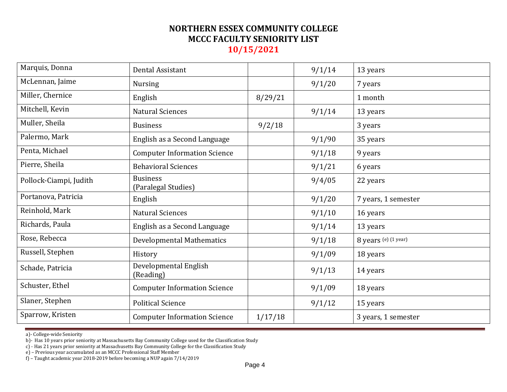| Marquis, Donna         | Dental Assistant                       |         | 9/1/14 | 13 years             |
|------------------------|----------------------------------------|---------|--------|----------------------|
| McLennan, Jaime        | <b>Nursing</b>                         |         | 9/1/20 | 7 years              |
| Miller, Chernice       | English                                | 8/29/21 |        | 1 month              |
| Mitchell, Kevin        | <b>Natural Sciences</b>                |         | 9/1/14 | 13 years             |
| Muller, Sheila         | <b>Business</b>                        | 9/2/18  |        | 3 years              |
| Palermo, Mark          | English as a Second Language           |         | 9/1/90 | 35 years             |
| Penta, Michael         | <b>Computer Information Science</b>    |         | 9/1/18 | 9 years              |
| Pierre, Sheila         | <b>Behavioral Sciences</b>             |         | 9/1/21 | 6 years              |
| Pollock-Ciampi, Judith | <b>Business</b><br>(Paralegal Studies) |         | 9/4/05 | 22 years             |
| Portanova, Patricia    | English                                |         | 9/1/20 | 7 years, 1 semester  |
| Reinhold, Mark         | <b>Natural Sciences</b>                |         | 9/1/10 | 16 years             |
| Richards, Paula        | English as a Second Language           |         | 9/1/14 | 13 years             |
| Rose, Rebecca          | Developmental Mathematics              |         | 9/1/18 | 8 years (e) (1 year) |
| Russell, Stephen       | History                                |         | 9/1/09 | 18 years             |
| Schade, Patricia       | Developmental English<br>(Reading)     |         | 9/1/13 | 14 years             |
| Schuster, Ethel        | <b>Computer Information Science</b>    |         | 9/1/09 | 18 years             |
| Slaner, Stephen        | <b>Political Science</b>               |         | 9/1/12 | 15 years             |
| Sparrow, Kristen       | <b>Computer Information Science</b>    | 1/17/18 |        | 3 years, 1 semester  |

b)- Has 10 years prior seniority at Massachusetts Bay Community College used for the Classification Study

c) - Has 21 years prior seniority at Massachusetts Bay Community College for the Classification Study

e) – Previous year accumulated as an MCCC Professional Staff Member

f) – Taught academic year 2018-2019 before becoming a NUP again 7/14/2019